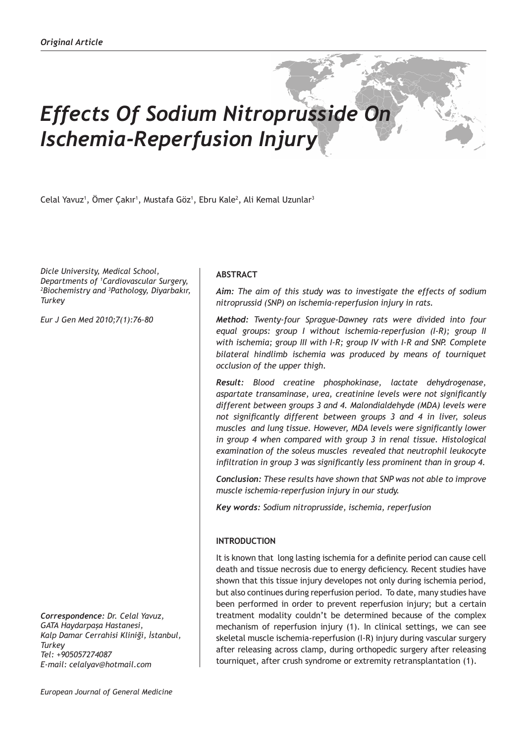# *Effects Of Sodium Nitroprusside On Ischemia-Reperfusion Injury*

Celal Yavuz<sup>1</sup>, Ömer Çakır<sup>1</sup>, Mustafa Göz<sup>1</sup>, Ebru Kale<sup>2</sup>, Ali Kemal Uzunlar<sup>3</sup>

*Dicle University, Medical School, Departments of 1 Cardiovascular Surgery, 2 Biochemistry and 3 Pathology, Diyarbakır, Turkey*

*Eur J Gen Med 2010;7(1):76-80*

*Correspondence: Dr. Celal Yavuz, GATA Haydarpaşa Hastanesi, Kalp Damar Cerrahisi Kliniği, İstanbul, Turkey Tel: +905057274087 E-mail: celalyav@hotmail.com* 

# **ABSTRACT**

*Aim: The aim of this study was to investigate the effects of sodium nitroprussid (SNP) on ischemia-reperfusion injury in rats.* 

*Method: Twenty-four Sprague-Dawney rats were divided into four equal groups: group I without ischemia-reperfusion (I-R); group II with ischemia; group III with I-R; group IV with I-R and SNP. Complete bilateral hindlimb ischemia was produced by means of tourniquet occlusion of the upper thigh.* 

*Result: Blood creatine phosphokinase, lactate dehydrogenase, aspartate transaminase, urea, creatinine levels were not significantly different between groups 3 and 4. Malondialdehyde (MDA) levels were not significantly different between groups 3 and 4 in liver, soleus muscles and lung tissue. However, MDA levels were significantly lower in group 4 when compared with group 3 in renal tissue. Histological examination of the soleus muscles revealed that neutrophil leukocyte infiltration in group 3 was significantly less prominent than in group 4.*

*Conclusion: These results have shown that SNP was not able to improve muscle ischemia-reperfusion injury in our study.*

*Key words: Sodium nitroprusside, ischemia, reperfusion*

# **INTRODUCTION**

It is known that long lasting ischemia for a definite period can cause cell death and tissue necrosis due to energy deficiency. Recent studies have shown that this tissue injury developes not only during ischemia period, but also continues during reperfusion period. To date, many studies have been performed in order to prevent reperfusion injury; but a certain treatment modality couldn't be determined because of the complex mechanism of reperfusion injury (1). In clinical settings, we can see skeletal muscle ischemia-reperfusion (I-R) injury during vascular surgery after releasing across clamp, during orthopedic surgery after releasing tourniquet, after crush syndrome or extremity retransplantation (1).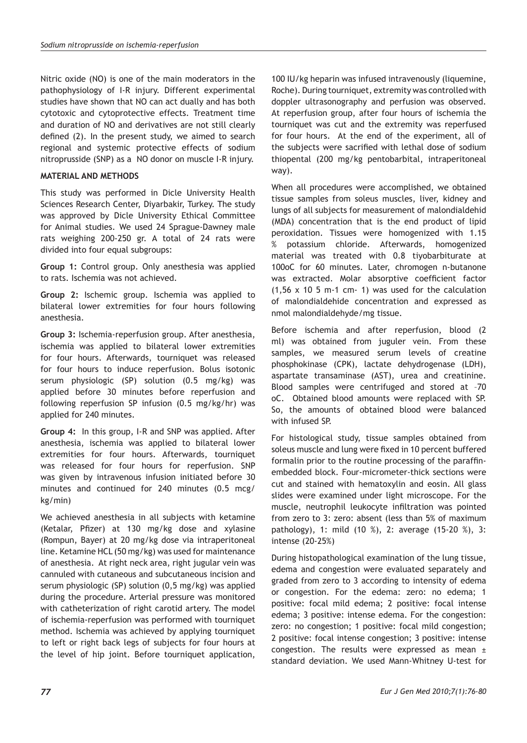Nitric oxide (NO) is one of the main moderators in the pathophysiology of I-R injury. Different experimental studies have shown that NO can act dually and has both cytotoxic and cytoprotective effects. Treatment time and duration of NO and derivatives are not still clearly defined (2). In the present study, we aimed to search regional and systemic protective effects of sodium nitroprusside (SNP) as a NO donor on muscle I-R injury.

# **MATERIAL AND METHODS**

This study was performed in Dicle University Health Sciences Research Center, Diyarbakir, Turkey. The study was approved by Dicle University Ethical Committee for Animal studies. We used 24 Sprague-Dawney male rats weighing 200-250 gr. A total of 24 rats were divided into four equal subgroups:

**Group 1:** Control group. Only anesthesia was applied to rats. Ischemia was not achieved.

**Group 2:** Ischemic group. Ischemia was applied to bilateral lower extremities for four hours following anesthesia.

**Group 3:** Ischemia-reperfusion group. After anesthesia, ischemia was applied to bilateral lower extremities for four hours. Afterwards, tourniquet was released for four hours to induce reperfusion. Bolus isotonic serum physiologic (SP) solution (0.5 mg/kg) was applied before 30 minutes before reperfusion and following reperfusion SP infusion (0.5 mg/kg/hr) was applied for 240 minutes.

**Group 4:** In this group, I-R and SNP was applied. After anesthesia, ischemia was applied to bilateral lower extremities for four hours. Afterwards, tourniquet was released for four hours for reperfusion. SNP was given by intravenous infusion initiated before 30 minutes and continued for 240 minutes (0.5 mcg/ kg/min)

We achieved anesthesia in all subjects with ketamine (Ketalar, Pfizer) at 130 mg/kg dose and xylasine (Rompun, Bayer) at 20 mg/kg dose via intraperitoneal line. Ketamine HCL (50 mg/kg) was used for maintenance of anesthesia. At right neck area, right jugular vein was cannuled with cutaneous and subcutaneous incision and serum physiologic (SP) solution (0,5 mg/kg) was applied during the procedure. Arterial pressure was monitored with catheterization of right carotid artery. The model of ischemia-reperfusion was performed with tourniquet method. Ischemia was achieved by applying tourniquet to left or right back legs of subjects for four hours at the level of hip joint. Before tourniquet application,

100 IU/kg heparin was infused intravenously (liquemine, Roche). During tourniquet, extremity was controlled with doppler ultrasonography and perfusion was observed. At reperfusion group, after four hours of ischemia the tourniquet was cut and the extremity was reperfused for four hours. At the end of the experiment, all of the subjects were sacrified with lethal dose of sodium thiopental (200 mg/kg pentobarbital, intraperitoneal way).

When all procedures were accomplished, we obtained tissue samples from soleus muscles, liver, kidney and lungs of all subjects for measurement of malondialdehid (MDA) concentration that is the end product of lipid peroxidation. Tissues were homogenized with 1.15 % potassium chloride. Afterwards, homogenized material was treated with 0.8 tiyobarbiturate at 100oC for 60 minutes. Later, chromogen n-butanone was extracted. Molar absorptive coefficient factor (1,56 x 10 5 m-1 cm- 1) was used for the calculation of malondialdehide concentration and expressed as nmol malondialdehyde/mg tissue.

Before ischemia and after reperfusion, blood (2 ml) was obtained from juguler vein. From these samples, we measured serum levels of creatine phosphokinase (CPK), lactate dehydrogenase (LDH), aspartate transaminase (AST), urea and creatinine. Blood samples were centrifuged and stored at –70 oC. Obtained blood amounts were replaced with SP. So, the amounts of obtained blood were balanced with infused SP.

For histological study, tissue samples obtained from soleus muscle and lung were fixed in 10 percent buffered formalin prior to the routine processing of the paraffinembedded block. Four-micrometer-thick sections were cut and stained with hematoxylin and eosin. All glass slides were examined under light microscope. For the muscle, neutrophil leukocyte infiltration was pointed from zero to 3: zero: absent (less than 5% of maximum pathology), 1: mild (10 %), 2: average (15-20 %), 3: intense (20-25%)

During histopathological examination of the lung tissue, edema and congestion were evaluated separately and graded from zero to 3 according to intensity of edema or congestion. For the edema: zero: no edema; 1 positive: focal mild edema; 2 positive: focal intense edema; 3 positive: intense edema. For the congestion: zero: no congestion; 1 positive: focal mild congestion; 2 positive: focal intense congestion; 3 positive: intense congestion. The results were expressed as mean  $\pm$ standard deviation. We used Mann-Whitney U-test for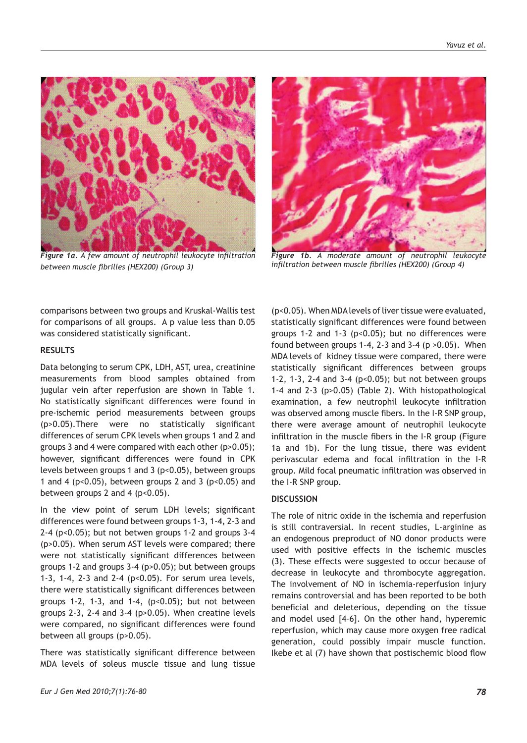

*Figure 1a. A few amount of neutrophil leukocyte infiltration between muscle fibrilles (HEX200) (Group 3)*



*Figure 1b. A moderate amount of neutrophil leukocyte infiltration between muscle fibrilles (HEX200) (Group 4)*

comparisons between two groups and Kruskal-Wallis test for comparisons of all groups. A p value less than 0.05 was considered statistically significant.

#### **RESULTS**

Data belonging to serum CPK, LDH, AST, urea, creatinine measurements from blood samples obtained from jugular vein after reperfusion are shown in Table 1. No statistically significant differences were found in pre-ischemic period measurements between groups (p>0.05).There were no statistically significant differences of serum CPK levels when groups 1 and 2 and groups 3 and 4 were compared with each other (p>0.05); however, significant differences were found in CPK levels between groups 1 and 3 (p<0.05), between groups 1 and 4 ( $p<0.05$ ), between groups 2 and 3 ( $p<0.05$ ) and between groups 2 and 4 ( $p<0.05$ ).

In the view point of serum LDH levels; significant differences were found between groups 1-3, 1-4, 2-3 and 2-4 (p<0.05); but not betwen groups 1-2 and groups 3-4 (p>0.05). When serum AST levels were compared; there were not statistically significant differences between groups 1-2 and groups 3-4 (p>0.05); but between groups 1-3, 1-4, 2-3 and 2-4 (p<0.05). For serum urea levels, there were statistically significant differences between groups 1-2, 1-3, and 1-4,  $(p<0.05)$ ; but not between groups 2-3, 2-4 and 3-4 (p>0.05). When creatine levels were compared, no significant differences were found between all groups (p>0.05).

There was statistically significant difference between MDA levels of soleus muscle tissue and lung tissue

(p<0.05). When MDA levels of liver tissue were evaluated, statistically significant differences were found between groups 1-2 and 1-3 (p<0.05); but no differences were found between groups 1-4, 2-3 and 3-4 ( $p > 0.05$ ). When MDA levels of kidney tissue were compared, there were statistically significant differences between groups 1-2, 1-3, 2-4 and 3-4 ( $p<0.05$ ); but not between groups 1-4 and 2-3 (p>0.05) (Table 2). With histopathological examination, a few neutrophil leukocyte infiltration was observed among muscle fibers. In the I-R SNP group, there were average amount of neutrophil leukocyte infiltration in the muscle fibers in the I-R group (Figure 1a and 1b). For the lung tissue, there was evident perivascular edema and focal infiltration in the I-R group. Mild focal pneumatic infiltration was observed in the I-R SNP group.

# **DISCUSSION**

The role of nitric oxide in the ischemia and reperfusion is still contraversial. In recent studies, L-arginine as an endogenous preproduct of NO donor products were used with positive effects in the ischemic muscles (3). These effects were suggested to occur because of decrease in leukocyte and thrombocyte aggregation. The involvement of NO in ischemia-reperfusion injury remains controversial and has been reported to be both beneficial and deleterious, depending on the tissue and model used [4–6]. On the other hand, hyperemic reperfusion, which may cause more oxygen free radical generation, could possibly impair muscle function. Ikebe et al (7) have shown that postischemic blood flow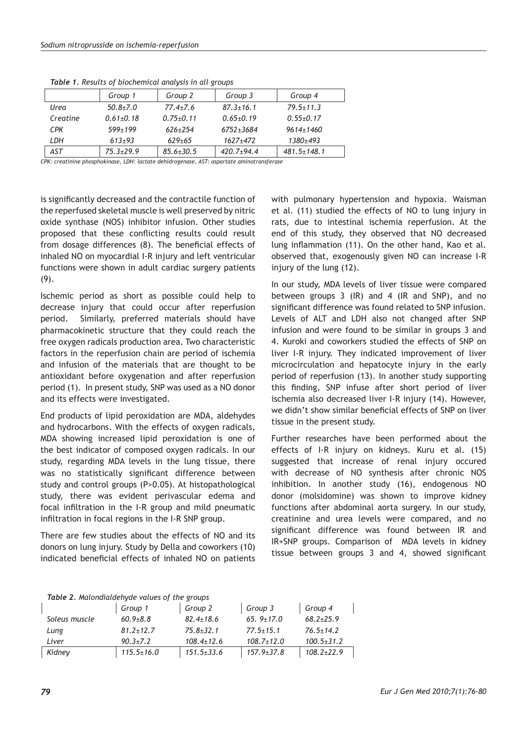|            | Group 1       | Group 2         | Group 3         | Group 4           |
|------------|---------------|-----------------|-----------------|-------------------|
| Urea       | $50.8 + 7.0$  | $77.4 + 7.6$    | $87.3 \pm 16.1$ | $79.5 \pm 11.3$   |
| Creatine   | $0.61 + 0.18$ | $0.75 + 0.11$   | $0.65{\pm}0.19$ | $0.55+0.17$       |
| <b>CPK</b> | $599 + 199$   | $626+254$       | $6752 + 3684$   | $9614 + 1460$     |
| LDH        | $613+93$      | $629 + 65$      | $1627 + 472$    | $1380 + 493$      |
| <b>AST</b> | $75.3 + 29.9$ | $85.6 \pm 30.5$ | $420.7+94.4$    | $481.5 \pm 148.1$ |

*Table 1. Results of biochemical analysis in all groups*

*CPK: creatinine phosphokinase, LDH: lactate dehidrogenase, AST: aspartate aminotransferase*

is significantly decreased and the contractile function of the reperfused skeletal muscle is well preserved by nitric oxide synthase (NOS) inhibitor infusion. Other studies proposed that these conflicting results could result from dosage differences (8). The beneficial effects of inhaled NO on myocardial I-R injury and left ventricular functions were shown in adult cardiac surgery patients (9).

Ischemic period as short as possible could help to decrease injury that could occur after reperfusion period. Similarly, preferred materials should have pharmacokinetic structure that they could reach the free oxygen radicals production area. Two characteristic factors in the reperfusion chain are period of ischemia and infusion of the materials that are thought to be antioxidant before oxygenation and after reperfusion period (1). In present study, SNP was used as a NO donor and its effects were investigated.

End products of lipid peroxidation are MDA, aldehydes and hydrocarbons. With the effects of oxygen radicals, MDA showing increased lipid peroxidation is one of the best indicator of composed oxygen radicals. In our study, regarding MDA levels in the lung tissue, there was no statistically significant difference between study and control groups (P>0.05). At histopathological study, there was evident perivascular edema and focal infiltration in the I-R group and mild pneumatic infiltration in focal regions in the I-R SNP group.

There are few studies about the effects of NO and its donors on lung injury. Study by Della and coworkers (10) indicated beneficial effects of inhaled NO on patients with pulmonary hypertension and hypoxia. Waisman et al. (11) studied the effects of NO to lung injury in rats, due to intestinal ischemia reperfusion. At the end of this study, they observed that NO decreased lung inflammation (11). On the other hand, Kao et al. observed that, exogenously given NO can increase I-R injury of the lung (12).

In our study, MDA levels of liver tissue were compared between groups 3 (IR) and 4 (IR and SNP), and no significant difference was found related to SNP infusion. Levels of ALT and LDH also not changed after SNP infusion and were found to be similar in groups 3 and 4. Kuroki and coworkers studied the effects of SNP on liver I-R injury. They indicated improvement of liver microcirculation and hepatocyte injury in the early period of reperfusion (13). In another study supporting this finding, SNP infuse after short period of liver ischemia also decreased liver I-R injury (14). However, we didn't show similar beneficial effects of SNP on liver tissue in the present study.

Further researches have been performed about the effects of I-R injury on kidneys. Kuru et al. (15) suggested that increase of renal injury occured with decrease of NO synthesis after chronic NOS inhibition. In another study (16), endogenous NO donor (molsidomine) was shown to improve kidney functions after abdominal aorta surgery. In our study, creatinine and urea levels were compared, and no significant difference was found between IR and IR+SNP groups. Comparison of MDA levels in kidney tissue between groups 3 and 4, showed significant

| Table 2. Malondialdehyde values of the groups |  |  |
|-----------------------------------------------|--|--|

|               | Group 1          | Group 2          | Group 3          | Group 4          |  |  |  |
|---------------|------------------|------------------|------------------|------------------|--|--|--|
| Soleus muscle | $60.9 + 8.8$     | $82.4 \pm 18.6$  | 65. $9 \pm 17.0$ | $68.2 + 25.9$    |  |  |  |
| Lung          | $81.2 \pm 12.7$  | $75.8 \pm 32.1$  | $77.5 \pm 15.1$  | $76.5 \pm 14.2$  |  |  |  |
| l iver        | $90.3 + 7.2$     | $108.4 \pm 12.6$ | $108.7 \pm 12.0$ | $100.5 \pm 31.2$ |  |  |  |
| Kidney        | $115.5 \pm 16.0$ | $151.5 \pm 33.6$ | $157.9 \pm 37.8$ | $108.2 \pm 22.9$ |  |  |  |